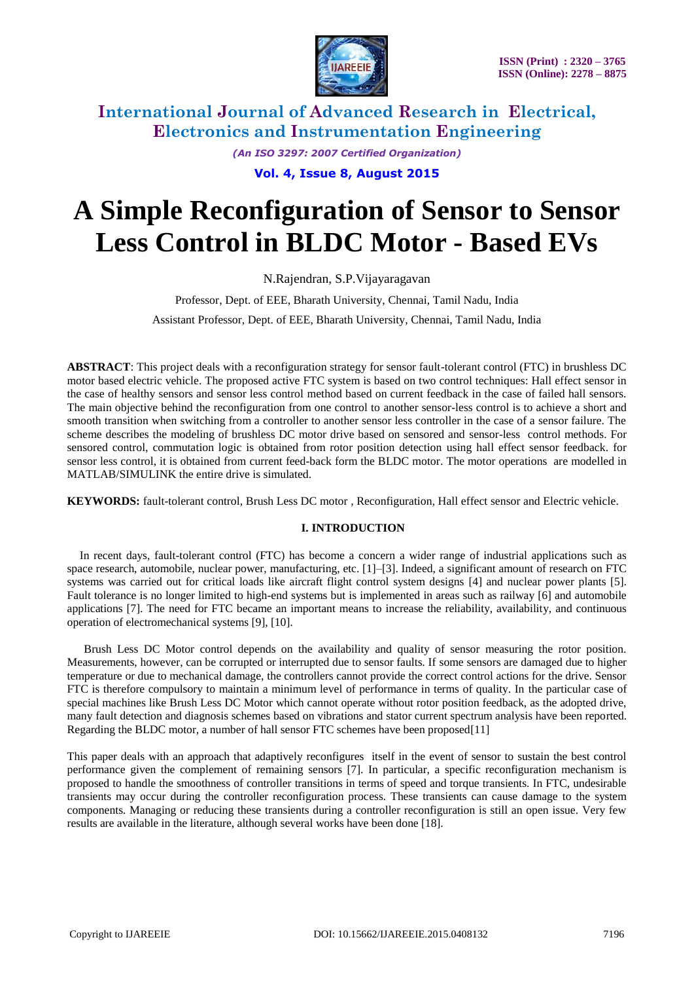

*(An ISO 3297: 2007 Certified Organization)* **Vol. 4, Issue 8, August 2015**

# **A Simple Reconfiguration of Sensor to Sensor Less Control in BLDC Motor - Based EVs**

N.Rajendran, S.P.Vijayaragavan

Professor, Dept. of EEE, Bharath University, Chennai, Tamil Nadu, India Assistant Professor, Dept. of EEE, Bharath University, Chennai, Tamil Nadu, India

**ABSTRACT**: This project deals with a reconfiguration strategy for sensor fault-tolerant control (FTC) in brushless DC motor based electric vehicle. The proposed active FTC system is based on two control techniques: Hall effect sensor in the case of healthy sensors and sensor less control method based on current feedback in the case of failed hall sensors. The main objective behind the reconfiguration from one control to another sensor-less control is to achieve a short and smooth transition when switching from a controller to another sensor less controller in the case of a sensor failure. The scheme describes the modeling of brushless DC motor drive based on sensored and sensor-less control methods. For sensored control, commutation logic is obtained from rotor position detection using hall effect sensor feedback. for sensor less control, it is obtained from current feed-back form the BLDC motor. The motor operations are modelled in MATLAB/SIMULINK the entire drive is simulated.

**KEYWORDS:** fault-tolerant control, Brush Less DC motor , Reconfiguration, Hall effect sensor and Electric vehicle.

### **I. INTRODUCTION**

In recent days, fault-tolerant control (FTC) has become a concern a wider range of industrial applications such as space research, automobile, nuclear power, manufacturing, etc. [1]–[3]. Indeed, a significant amount of research on FTC systems was carried out for critical loads like aircraft flight control system designs [4] and nuclear power plants [5]. Fault tolerance is no longer limited to high-end systems but is implemented in areas such as railway [6] and automobile applications [7]. The need for FTC became an important means to increase the reliability, availability, and continuous operation of electromechanical systems [9], [10].

Brush Less DC Motor control depends on the availability and quality of sensor measuring the rotor position. Measurements, however, can be corrupted or interrupted due to sensor faults. If some sensors are damaged due to higher temperature or due to mechanical damage, the controllers cannot provide the correct control actions for the drive. Sensor FTC is therefore compulsory to maintain a minimum level of performance in terms of quality. In the particular case of special machines like Brush Less DC Motor which cannot operate without rotor position feedback, as the adopted drive, many fault detection and diagnosis schemes based on vibrations and stator current spectrum analysis have been reported. Regarding the BLDC motor, a number of hall sensor FTC schemes have been proposed[11]

This paper deals with an approach that adaptively reconfigures itself in the event of sensor to sustain the best control performance given the complement of remaining sensors [7]. In particular, a specific reconfiguration mechanism is proposed to handle the smoothness of controller transitions in terms of speed and torque transients. In FTC, undesirable transients may occur during the controller reconfiguration process. These transients can cause damage to the system components. Managing or reducing these transients during a controller reconfiguration is still an open issue. Very few results are available in the literature, although several works have been done [18].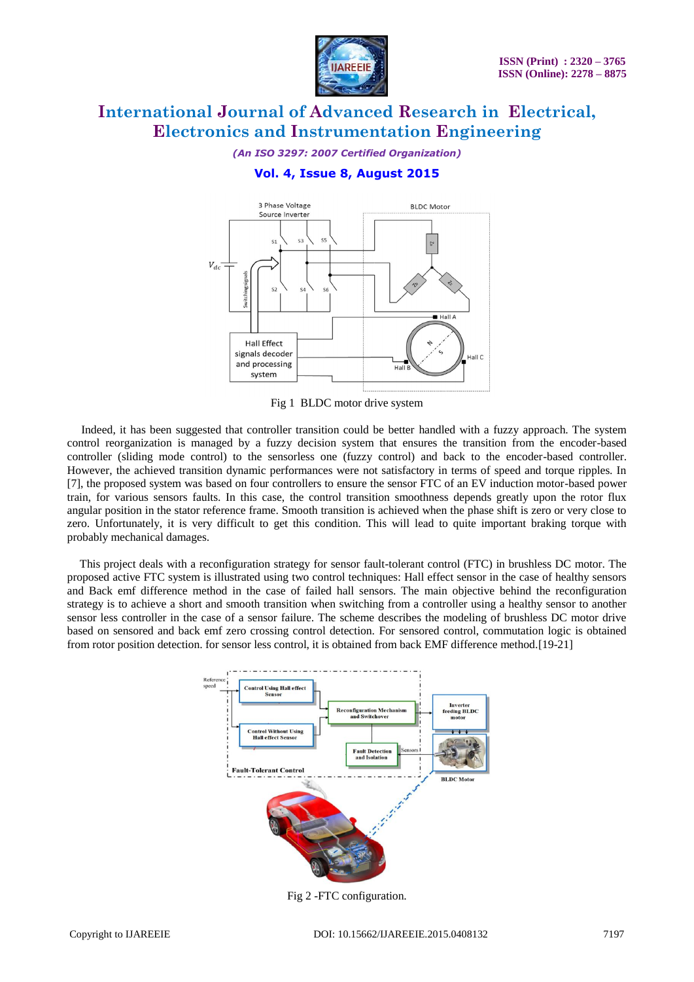

*(An ISO 3297: 2007 Certified Organization)*

### **Vol. 4, Issue 8, August 2015**



Fig 1 BLDC motor drive system

 Indeed, it has been suggested that controller transition could be better handled with a fuzzy approach. The system control reorganization is managed by a fuzzy decision system that ensures the transition from the encoder-based controller (sliding mode control) to the sensorless one (fuzzy control) and back to the encoder-based controller. However, the achieved transition dynamic performances were not satisfactory in terms of speed and torque ripples. In [7], the proposed system was based on four controllers to ensure the sensor FTC of an EV induction motor-based power train, for various sensors faults. In this case, the control transition smoothness depends greatly upon the rotor flux angular position in the stator reference frame. Smooth transition is achieved when the phase shift is zero or very close to zero. Unfortunately, it is very difficult to get this condition. This will lead to quite important braking torque with probably mechanical damages.

This project deals with a reconfiguration strategy for sensor fault-tolerant control (FTC) in brushless DC motor. The proposed active FTC system is illustrated using two control techniques: Hall effect sensor in the case of healthy sensors and Back emf difference method in the case of failed hall sensors. The main objective behind the reconfiguration strategy is to achieve a short and smooth transition when switching from a controller using a healthy sensor to another sensor less controller in the case of a sensor failure. The scheme describes the modeling of brushless DC motor drive based on sensored and back emf zero crossing control detection. For sensored control, commutation logic is obtained from rotor position detection. for sensor less control, it is obtained from back EMF difference method.[19-21]



Fig 2 -FTC configuration.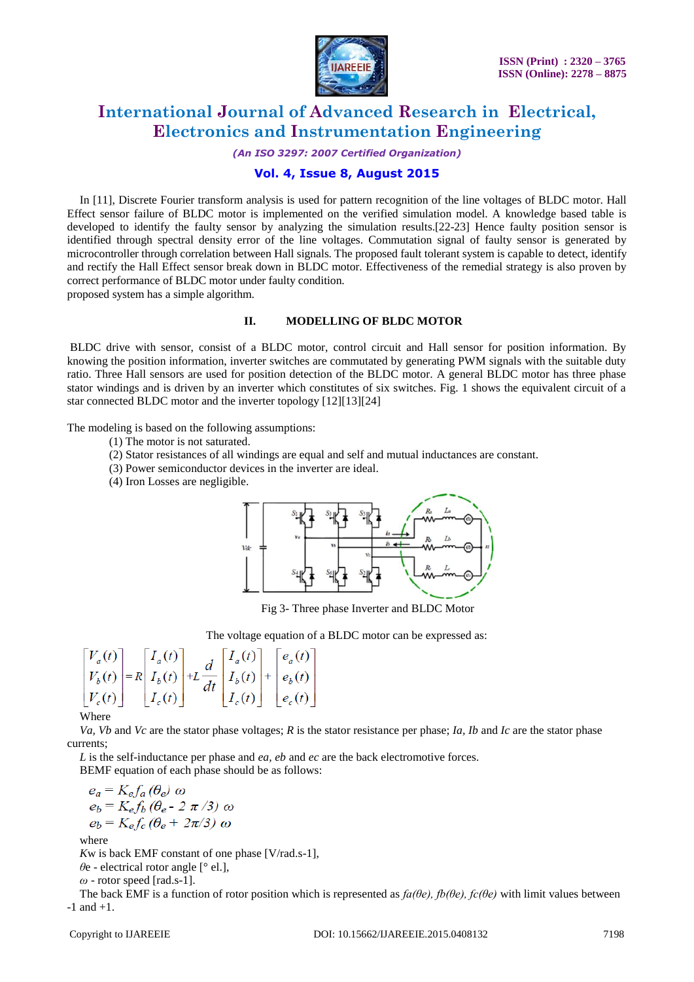

*(An ISO 3297: 2007 Certified Organization)*

### **Vol. 4, Issue 8, August 2015**

In [11], Discrete Fourier transform analysis is used for pattern recognition of the line voltages of BLDC motor. Hall Effect sensor failure of BLDC motor is implemented on the verified simulation model. A knowledge based table is developed to identify the faulty sensor by analyzing the simulation results.[22-23] Hence faulty position sensor is identified through spectral density error of the line voltages. Commutation signal of faulty sensor is generated by microcontroller through correlation between Hall signals. The proposed fault tolerant system is capable to detect, identify and rectify the Hall Effect sensor break down in BLDC motor. Effectiveness of the remedial strategy is also proven by correct performance of BLDC motor under faulty condition.

proposed system has a simple algorithm.

#### **II. MODELLING OF BLDC MOTOR**

BLDC drive with sensor, consist of a BLDC motor, control circuit and Hall sensor for position information. By knowing the position information, inverter switches are commutated by generating PWM signals with the suitable duty ratio. Three Hall sensors are used for position detection of the BLDC motor. A general BLDC motor has three phase stator windings and is driven by an inverter which constitutes of six switches. Fig. 1 shows the equivalent circuit of a star connected BLDC motor and the inverter topology [12][13][24]

The modeling is based on the following assumptions:

- (1) The motor is not saturated.
- (2) Stator resistances of all windings are equal and self and mutual inductances are constant.
- (3) Power semiconductor devices in the inverter are ideal.
- (4) Iron Losses are negligible.



Fig 3- Three phase Inverter and BLDC Motor

The voltage equation of a BLDC motor can be expressed as:

$$
\begin{bmatrix} V_a(t) \\ V_b(t) \\ V_c(t) \end{bmatrix} = R \begin{bmatrix} I_a(t) \\ I_b(t) \\ I_c(t) \end{bmatrix} + L \frac{d}{dt} \begin{bmatrix} I_a(t) \\ I_b(t) \\ I_c(t) \end{bmatrix} + \begin{bmatrix} e_a(t) \\ e_b(t) \\ e_c(t) \end{bmatrix}
$$

Where

*Va, Vb* and *Vc* are the stator phase voltages; *R* is the stator resistance per phase; *Ia, Ib* and *Ic* are the stator phase currents;

*L* is the self-inductance per phase and *ea, eb* and *ec* are the back electromotive forces.

BEMF equation of each phase should be as follows:

$$
e_a = K_e f_a (\theta_e) \omega
$$
  
\n
$$
e_b = K_e f_b (\theta_e - 2 \pi / 3) \omega
$$
  
\n
$$
e_b = K_e f_c (\theta_e + 2 \pi / 3) \omega
$$

where

*K*w is back EMF constant of one phase [V/rad.s-1],

*θ*e - electrical rotor angle [° el.],

*ω* - rotor speed [rad.s-1].

The back EMF is a function of rotor position which is represented as *fa(θe), fb(θe), fc(θe)* with limit values between  $-1$  and  $+1$ .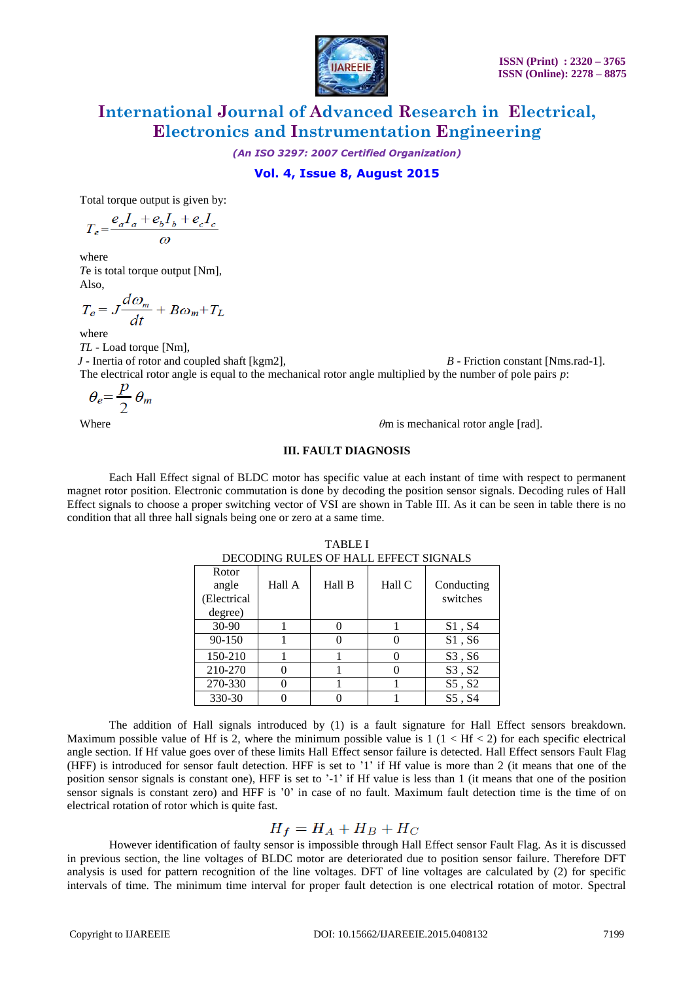

*(An ISO 3297: 2007 Certified Organization)*

### **Vol. 4, Issue 8, August 2015**

Total torque output is given by:

$$
T_e\!=\!\frac{e_a I_a+e_b I_b+e_c I_c}{\omega}
$$

where *T*e is total torque output [Nm], Also,

$$
T_e = J \frac{d\omega_m}{dt} + B\omega_m + T_L
$$

where

*TL* - Load torque [Nm], *J* - Inertia of rotor and coupled shaft [kgm2], *B* - Friction constant [Nms.rad-1]. The electrical rotor angle is equal to the mechanical rotor angle multiplied by the number of pole pairs *p*:

$$
\theta_e = \frac{p}{2} \theta_m
$$

Where *θ*m is mechanical rotor angle [rad].

#### **III. FAULT DIAGNOSIS**

Each Hall Effect signal of BLDC motor has specific value at each instant of time with respect to permanent magnet rotor position. Electronic commutation is done by decoding the position sensor signals. Decoding rules of Hall Effect signals to choose a proper switching vector of VSI are shown in Table III. As it can be seen in table there is no condition that all three hall signals being one or zero at a same time.

|                                          | DECODING RULES OF HALL EFFECT SIGNALS |        |        |                        |
|------------------------------------------|---------------------------------------|--------|--------|------------------------|
| Rotor<br>angle<br>(Electrical<br>degree) | Hall A                                | Hall B | Hall C | Conducting<br>switches |
| $30-90$                                  |                                       |        |        | S1, S4                 |
| 90-150                                   |                                       |        |        | S1, S6                 |
| 150-210                                  |                                       |        |        | S3, S6                 |
| 210-270                                  | 0                                     |        |        | S3, S2                 |
| 270-330                                  | $\mathbf{\Omega}$                     |        |        | S5, S2                 |
| 330-30                                   |                                       |        |        | S5, S4                 |

TABLE I

The addition of Hall signals introduced by (1) is a fault signature for Hall Effect sensors breakdown. Maximum possible value of Hf is 2, where the minimum possible value is  $1 (1 < H<sub>5</sub> 2)$  for each specific electrical angle section. If Hf value goes over of these limits Hall Effect sensor failure is detected. Hall Effect sensors Fault Flag (HFF) is introduced for sensor fault detection. HFF is set to '1' if Hf value is more than 2 (it means that one of the position sensor signals is constant one), HFF is set to '-1' if Hf value is less than 1 (it means that one of the position sensor signals is constant zero) and HFF is '0' in case of no fault. Maximum fault detection time is the time of on electrical rotation of rotor which is quite fast.

$$
H_f = H_A + H_B + H_C
$$

However identification of faulty sensor is impossible through Hall Effect sensor Fault Flag. As it is discussed in previous section, the line voltages of BLDC motor are deteriorated due to position sensor failure. Therefore DFT analysis is used for pattern recognition of the line voltages. DFT of line voltages are calculated by (2) for specific intervals of time. The minimum time interval for proper fault detection is one electrical rotation of motor. Spectral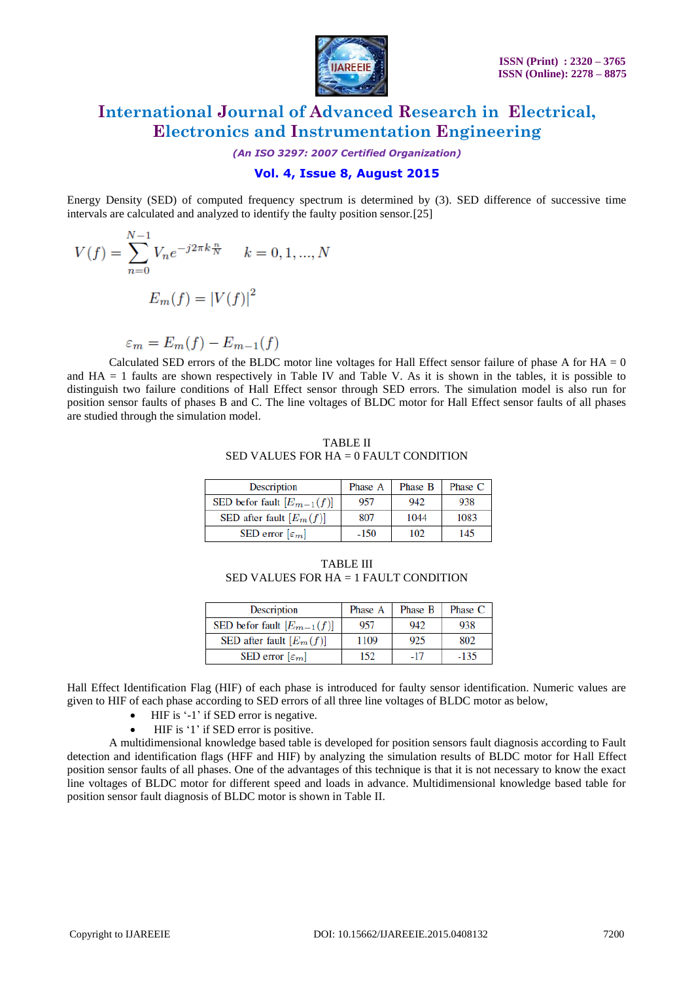

*(An ISO 3297: 2007 Certified Organization)*

### **Vol. 4, Issue 8, August 2015**

Energy Density (SED) of computed frequency spectrum is determined by (3). SED difference of successive time intervals are calculated and analyzed to identify the faulty position sensor.[25]

$$
V(f) = \sum_{n=0}^{N-1} V_n e^{-j2\pi k \frac{n}{N}} \quad k = 0, 1, ..., N
$$

$$
E_m(f) = |V(f)|^2
$$

$$
\varepsilon_m = E_m(f) - E_{m-1}(f)
$$

Calculated SED errors of the BLDC motor line voltages for Hall Effect sensor failure of phase A for  $HA = 0$ and HA = 1 faults are shown respectively in Table IV and Table V. As it is shown in the tables, it is possible to distinguish two failure conditions of Hall Effect sensor through SED errors. The simulation model is also run for position sensor faults of phases B and C. The line voltages of BLDC motor for Hall Effect sensor faults of all phases are studied through the simulation model.

TABLE II SED VALUES FOR HA = 0 FAULT CONDITION

| Description                    | Phase A | Phase B | Phase C |
|--------------------------------|---------|---------|---------|
| SED befor fault $[E_{m-1}(f)]$ | 957     | 942     | 938     |
| SED after fault $[E_m(f)]$     | 807     | 1044    | 1083    |
| SED error $[\varepsilon_m]$    | $-150$  | 102     | 145     |

TABLE III SED VALUES FOR HA = 1 FAULT CONDITION

| Description                    | Phase A | Phase B | Phase C |
|--------------------------------|---------|---------|---------|
| SED befor fault $[E_{m-1}(f)]$ | 957     | 942     | 938     |
| SED after fault $[E_m(f)]$     | 1109    | 925     | 802     |
| SED error $[\varepsilon_m]$    | 152     | -17     | $-135$  |

Hall Effect Identification Flag (HIF) of each phase is introduced for faulty sensor identification. Numeric values are given to HIF of each phase according to SED errors of all three line voltages of BLDC motor as below,

- HIF is '-1' if SED error is negative.
- HIF is '1' if SED error is positive.

A multidimensional knowledge based table is developed for position sensors fault diagnosis according to Fault detection and identification flags (HFF and HIF) by analyzing the simulation results of BLDC motor for Hall Effect position sensor faults of all phases. One of the advantages of this technique is that it is not necessary to know the exact line voltages of BLDC motor for different speed and loads in advance. Multidimensional knowledge based table for position sensor fault diagnosis of BLDC motor is shown in Table II.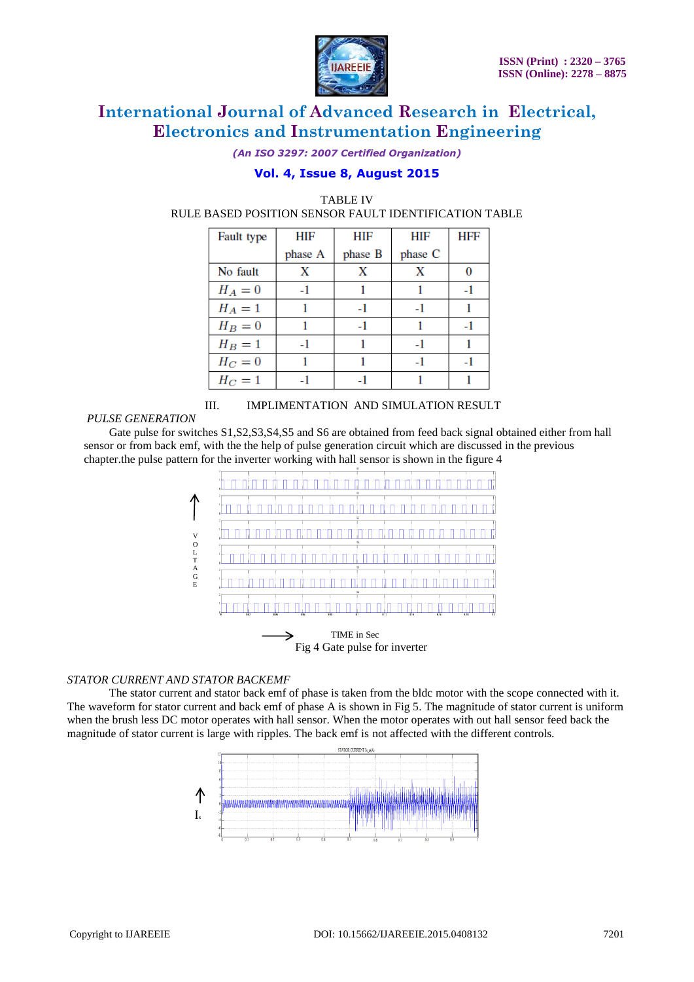

*(An ISO 3297: 2007 Certified Organization)*

### **Vol. 4, Issue 8, August 2015**

| Fault type | HIF     | HIF     | HIF     | HFF |
|------------|---------|---------|---------|-----|
|            | phase A | phase B | phase C |     |
| No fault   | X       | X       | X       |     |
| $H_A=0$    | $-1$    |         |         | -1  |
| $H_A=1$    |         | $-1$    | $-1$    |     |
| $H_B=0$    |         | $-1$    |         | -1  |
| $H_B=1$    | -1      |         | -1      |     |
| $H_C=0$    |         |         | $-1$    |     |
| $H_C=1$    |         |         |         |     |

#### TABLE IV RULE BASED POSITION SENSOR FAULT IDENTIFICATION TABLE

### *PULSE GENERATION*

III. IMPLIMENTATION AND SIMULATION RESULT

Gate pulse for switches  $S1$ ,  $S2$ ,  $S3$ ,  $S4$ ,  $S5$  and  $S6$  are obtained from feed back signal obtained either from hall sensor or from back emf, with the the help of pulse generation circuit which are discussed in the previous chapter.the pulse pattern for the inverter working with hall sensor is shown in the figure 4



TIME in Sec Fig 4 Gate pulse for inverter

### *STATOR CURRENT AND STATOR BACKEMF*

The stator current and stator back emf of phase is taken from the bldc motor with the scope connected with it. The waveform for stator current and back emf of phase A is shown in Fig 5. The magnitude of stator current is uniform when the brush less DC motor operates with hall sensor. When the motor operates with out hall sensor feed back the magnitude of stator current is large with ripples. The back emf is not affected with the different controls.

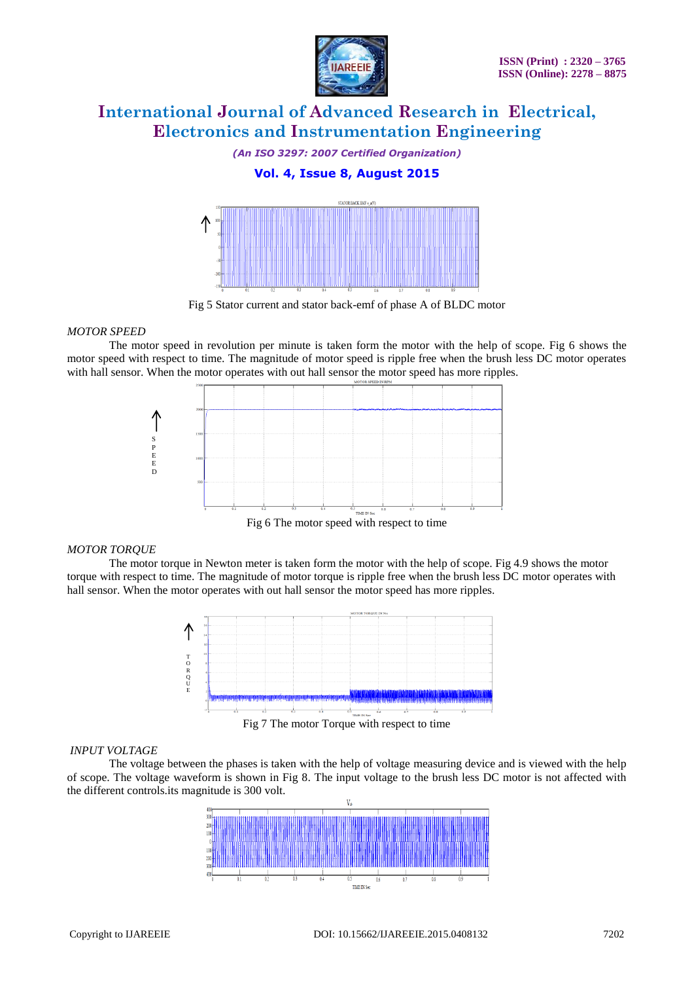

#### *(An ISO 3297: 2007 Certified Organization)*

### **Vol. 4, Issue 8, August 2015**



Fig 5 Stator current and stator back-emf of phase A of BLDC motor

#### *MOTOR SPEED*

The motor speed in revolution per minute is taken form the motor with the help of scope. Fig 6 shows the motor speed with respect to time. The magnitude of motor speed is ripple free when the brush less DC motor operates with hall sensor. When the motor operates with out hall sensor the motor speed has more ripples.



#### *MOTOR TORQUE*

The motor torque in Newton meter is taken form the motor with the help of scope. Fig 4.9 shows the motor torque with respect to time. The magnitude of motor torque is ripple free when the brush less DC motor operates with hall sensor. When the motor operates with out hall sensor the motor speed has more ripples.



### *INPUT VOLTAGE*

The voltage between the phases is taken with the help of voltage measuring device and is viewed with the help of scope. The voltage waveform is shown in Fig 8. The input voltage to the brush less DC motor is not affected with the different controls.its magnitude is 300 volt.

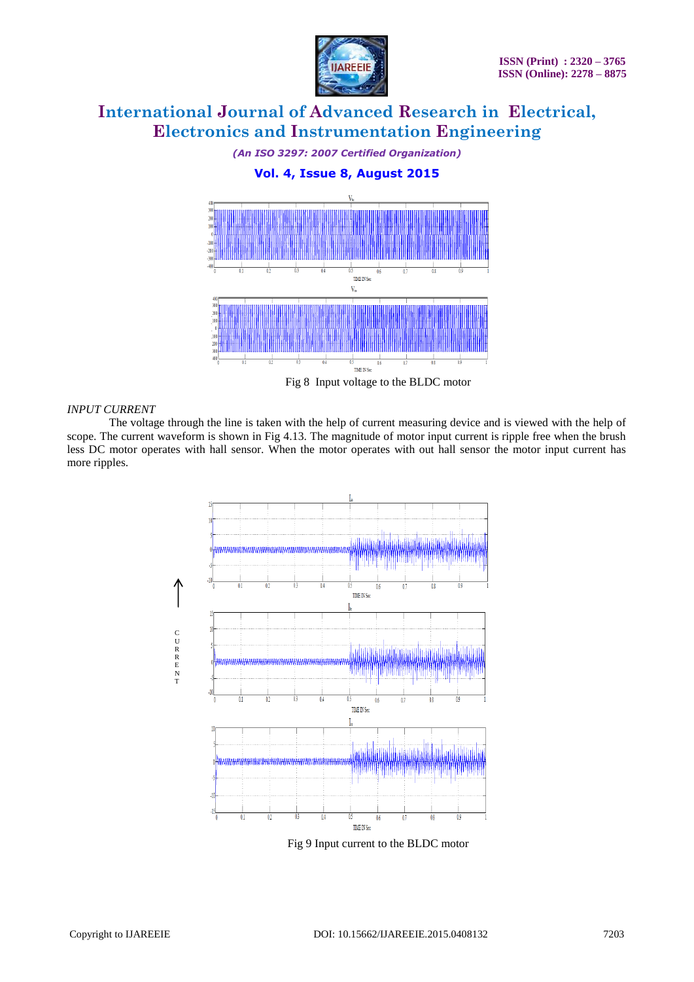

#### *(An ISO 3297: 2007 Certified Organization)*

### **Vol. 4, Issue 8, August 2015**



Fig 8 Input voltage to the BLDC motor

#### *INPUT CURRENT*

The voltage through the line is taken with the help of current measuring device and is viewed with the help of scope. The current waveform is shown in Fig 4.13. The magnitude of motor input current is ripple free when the brush less DC motor operates with hall sensor. When the motor operates with out hall sensor the motor input current has more ripples.



Fig 9 Input current to the BLDC motor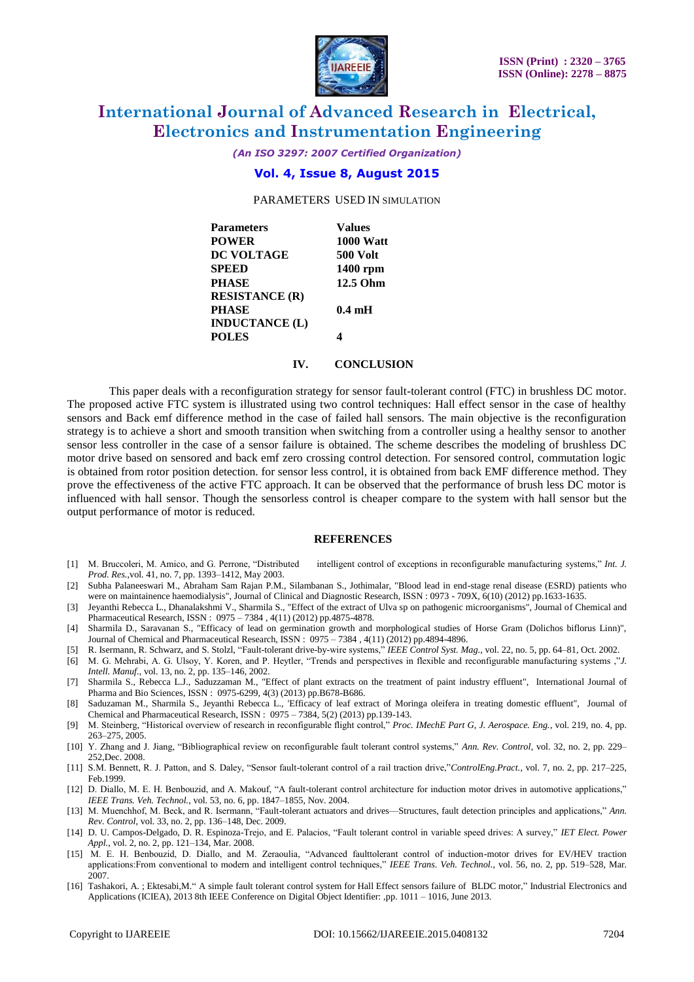

*(An ISO 3297: 2007 Certified Organization)*

### **Vol. 4, Issue 8, August 2015**

PARAMETERS USED IN SIMULATION

| <b>Values</b>    |
|------------------|
| <b>1000 Watt</b> |
| <b>500 Volt</b>  |
| 1400 rpm         |
| 12.5 Ohm         |
|                  |
| $0.4 \text{ mH}$ |
|                  |
| ◢                |
|                  |

#### **IV. CONCLUSION**

This paper deals with a reconfiguration strategy for sensor fault-tolerant control (FTC) in brushless DC motor. The proposed active FTC system is illustrated using two control techniques: Hall effect sensor in the case of healthy sensors and Back emf difference method in the case of failed hall sensors. The main objective is the reconfiguration strategy is to achieve a short and smooth transition when switching from a controller using a healthy sensor to another sensor less controller in the case of a sensor failure is obtained. The scheme describes the modeling of brushless DC motor drive based on sensored and back emf zero crossing control detection. For sensored control, commutation logic is obtained from rotor position detection. for sensor less control, it is obtained from back EMF difference method. They prove the effectiveness of the active FTC approach. It can be observed that the performance of brush less DC motor is influenced with hall sensor. Though the sensorless control is cheaper compare to the system with hall sensor but the output performance of motor is reduced.

#### **REFERENCES**

- [1] M. Bruccoleri, M. Amico, and G. Perrone, "Distributed intelligent control of exceptions in reconfigurable manufacturing systems," Int. J. *Prod. Res.*,vol. 41, no. 7, pp. 1393–1412, May 2003.
- [2] Subha Palaneeswari M., Abraham Sam Rajan P.M., Silambanan S., Jothimalar, "Blood lead in end-stage renal disease (ESRD) patients who were on maintainence haemodialysis", Journal of Clinical and Diagnostic Research, ISSN : 0973 - 709X, 6(10) (2012) pp.1633-1635.
- [3] Jeyanthi Rebecca L., Dhanalakshmi V., Sharmila S., "Effect of the extract of Ulva sp on pathogenic microorganisms", Journal of Chemical and Pharmaceutical Research, ISSN : 0975 – 7384 , 4(11) (2012) pp.4875-4878.
- [4] Sharmila D., Saravanan S., "Efficacy of lead on germination growth and morphological studies of Horse Gram (Dolichos biflorus Linn)", Journal of Chemical and Pharmaceutical Research, ISSN : 0975 – 7384, 4(11) (2012) pp.4894-4896.
- [5] R. Isermann, R. Schwarz, and S. Stolzl, "Fault-tolerant drive-by-wire systems," IEEE Control Syst. Mag., vol. 22, no. 5, pp. 64-81, Oct. 2002.
- [6] M. G. Mehrabi, A. G. Ulsoy, Y. Koren, and P. Heytler, "Trends and perspectives in flexible and reconfigurable manufacturing systems ,"*J. Intell. Manuf.*, vol. 13, no. 2, pp. 135–146, 2002.
- [7] Sharmila S., Rebecca L.J., Saduzzaman M., "Effect of plant extracts on the treatment of paint industry effluent", International Journal of Pharma and Bio Sciences, ISSN : 0975-6299, 4(3) (2013) pp.B678-B686.
- [8] Saduzaman M., Sharmila S., Jeyanthi Rebecca L., 'Efficacy of leaf extract of Moringa oleifera in treating domestic effluent", Journal of Chemical and Pharmaceutical Research, ISSN : 0975 – 7384, 5(2) (2013) pp.139-143.
- [9] M. Steinberg, "Historical overview of research in reconfigurable flight control," *Proc. IMechE Part G, J. Aerospace. Eng.*, vol. 219, no. 4, pp. 263–275, 2005.
- [10] Y. Zhang and J. Jiang, "Bibliographical review on reconfigurable fault tolerant control systems," *Ann. Rev. Control*, vol. 32, no. 2, pp. 229– 252,Dec. 2008.
- [11] S.M. Bennett, R. J. Patton, and S. Daley, "Sensor fault-tolerant control of a rail traction drive,"ControlEng.Pract., vol. 7, no. 2, pp. 217-225, Feb.1999.
- [12] D. Diallo, M. E. H. Benbouzid, and A. Makouf, "A fault-tolerant control architecture for induction motor drives in automotive applications," *IEEE Trans. Veh. Technol.*, vol. 53, no. 6, pp. 1847–1855, Nov. 2004.
- [13] M. Muenchhof, M. Beck, and R. Isermann, "Fault-tolerant actuators and drives—Structures, fault detection principles and applications," Ann. *Rev. Control*, vol. 33, no. 2, pp. 136–148, Dec. 2009.
- [14] D. U. Campos-Delgado, D. R. Espinoza-Trejo, and E. Palacios, "Fault tolerant control in variable speed drives: A survey," IET Elect. Power *Appl.*, vol. 2, no. 2, pp. 121–134, Mar. 2008.
- [15] M. E. H. Benbouzid, D. Diallo, and M. Zeraoulia, "Advanced faulttolerant control of induction-motor drives for EV/HEV traction applications:From conventional to modern and intelligent control techniques," *IEEE Trans. Veh. Technol.*, vol. 56, no. 2, pp. 519–528, Mar. 2007.
- [16] [Tashakori, A.](http://ieeexplore.ieee.org/search/searchresult.jsp?searchWithin=p_Authors:.QT.Tashakori,%20A..QT.&newsearch=true); Ektesabi,M." [A simple fault tolerant control system](http://ieeexplore.ieee.org/xpl/articleDetails.jsp?tp=&arnumber=6566515&queryText%3Dhall+sensor+FTC+for+bldc) for Hall Effect sensors failure of BLDC motor," Industrial Electronics and [Applications \(ICIEA\), 2013 8th IEEE Conference on](http://ieeexplore.ieee.org/xpl/mostRecentIssue.jsp?punumber=6559347) Digital Object Identifier: ,pp. 1011 – 1016, June 2013.